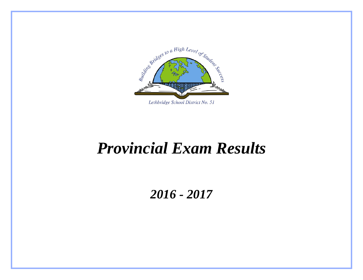

## *Provincial Exam Results*

### *2016 - 2017*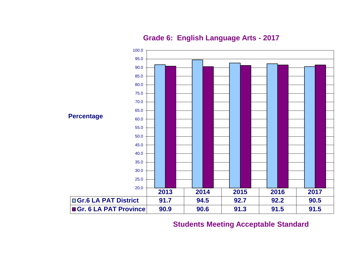

**Grade 6: English Language Arts - 2017**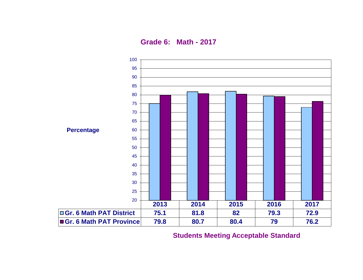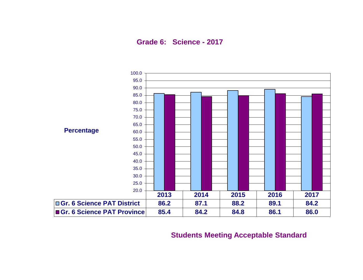**Grade 6: Science - 2017**

![](_page_3_Figure_1.jpeg)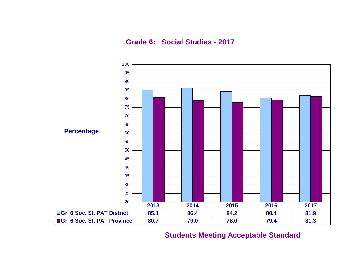**Grade 6: Social Studies - 2017**

![](_page_4_Figure_1.jpeg)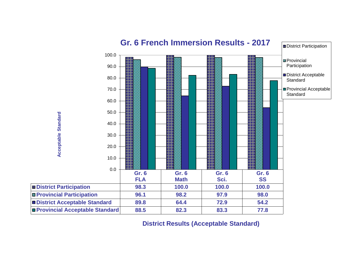![](_page_5_Figure_0.jpeg)

**District Results (Acceptable Standard)**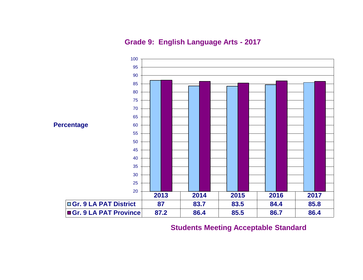**Grade 9: English Language Arts - 2017**

![](_page_6_Figure_1.jpeg)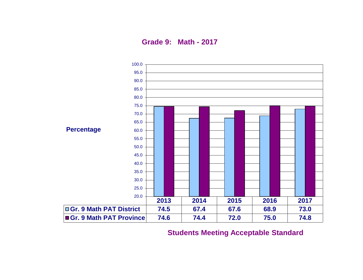**Grade 9: Math - 2017**

![](_page_7_Figure_1.jpeg)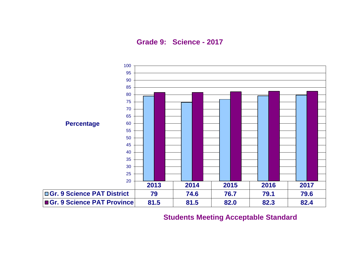**Grade 9: Science - 2017**

![](_page_8_Figure_1.jpeg)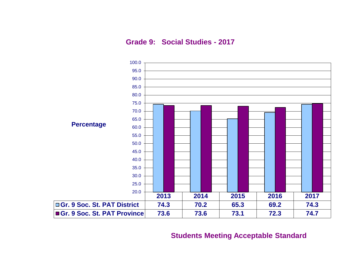**Grade 9: Social Studies - 2017**

![](_page_9_Figure_1.jpeg)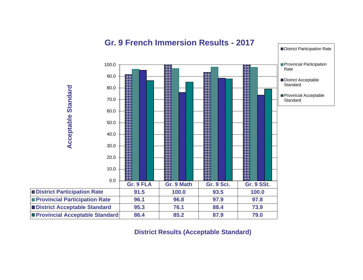![](_page_10_Figure_0.jpeg)

### **Gr. 9 French Immersion Results - 2017**

**District Results (Acceptable Standard)**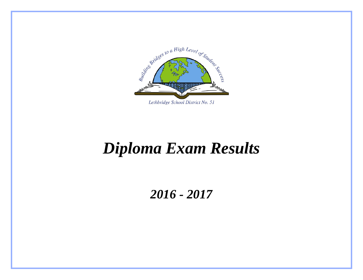![](_page_11_Picture_0.jpeg)

# *Diploma Exam Results*

*2016 - 2017*